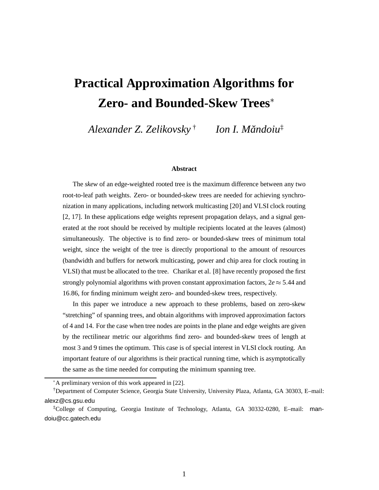# **Practical Approximation Algorithms for Zero- and Bounded-Skew Trees**

*Alexander Z. Zelikovsky* † *Ion I. Mandoiu ˘* ‡

#### **Abstract**

The *skew* of an edge-weighted rooted tree is the maximum difference between any two root-to-leaf path weights. Zero- or bounded-skew trees are needed for achieving synchronization in many applications, including network multicasting [20] and VLSI clock routing [2, 17]. In these applications edge weights represent propagation delays, and a signal generated at the root should be received by multiple recipients located at the leaves (almost) simultaneously. The objective is to find zero- or bounded-skew trees of minimum total weight, since the weight of the tree is directly proportional to the amount of resources (bandwidth and buffers for network multicasting, power and chip area for clock routing in VLSI) that must be allocated to the tree. Charikar et al. [8] have recently proposed the first strongly polynomial algorithms with proven constant approximation factors,  $2e \approx 5.44$  and 16:86, for finding minimum weight zero- and bounded-skew trees, respectively.

In this paper we introduce a new approach to these problems, based on zero-skew "stretching" of spanning trees, and obtain algorithms with improved approximation factors of 4 and 14. For the case when tree nodes are points in the plane and edge weights are given by the rectilinear metric our algorithms find zero- and bounded-skew trees of length at most 3 and 9 times the optimum. This case is of special interest in VLSI clock routing. An important feature of our algorithms is their practical running time, which is asymptotically the same as the time needed for computing the minimum spanning tree.

A preliminary version of this work appeared in [22].

<sup>†</sup>Department of Computer Science, Georgia State University, University Plaza, Atlanta, GA 30303, E–mail: alexz@cs.gsu.edu

<sup>‡</sup>College of Computing, Georgia Institute of Technology, Atlanta, GA 30332-0280, E–mail: mandoiu@cc.gatech.edu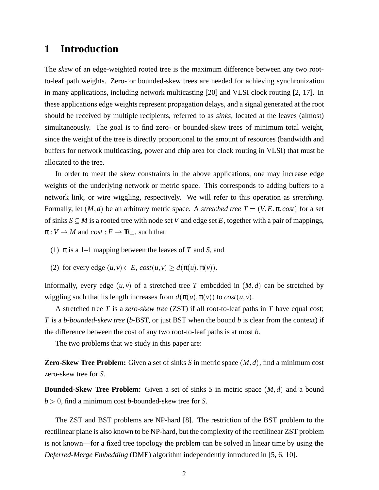### **1 Introduction**

The *skew* of an edge-weighted rooted tree is the maximum difference between any two rootto-leaf path weights. Zero- or bounded-skew trees are needed for achieving synchronization in many applications, including network multicasting [20] and VLSI clock routing [2, 17]. In these applications edge weights represent propagation delays, and a signal generated at the root should be received by multiple recipients, referred to as *sinks*, located at the leaves (almost) simultaneously. The goal is to find zero- or bounded-skew trees of minimum total weight, since the weight of the tree is directly proportional to the amount of resources (bandwidth and buffers for network multicasting, power and chip area for clock routing in VLSI) that must be allocated to the tree.

In order to meet the skew constraints in the above applications, one may increase edge weights of the underlying network or metric space. This corresponds to adding buffers to a network link, or wire wiggling, respectively. We will refer to this operation as *stretching*. Formally, let  $(M,d)$  be an arbitrary metric space. A *stretched tree*  $T = (V, E, \pi, cost)$  for a set of sinks  $S \subseteq M$  is a rooted tree with node set *V* and edge set *E*, together with a pair of mappings,  $\pi: V \to M$  and  $cost: E \to \mathbb{R}_+$ , such that

- (1) π is a 1–1 mapping between the leaves of *T* and *S*, and
- (2) for every edge  $(u, v) \in E$ ,  $cost(u, v) \geq d(\pi(u), \pi(v))$ .

Informally, every edge  $(u, v)$  of a stretched tree T embedded in  $(M, d)$  can be stretched by wiggling such that its length increases from  $d(\pi(u), \pi(v))$  to  $cost(u, v)$ .

A stretched tree *T* is a *zero-skew tree* (ZST) if all root-to-leaf paths in *T* have equal cost; *T* is a *b-bounded-skew tree* (*b*-BST, or just BST when the bound *b* is clear from the context) if the difference between the cost of any two root-to-leaf paths is at most *b*.

The two problems that we study in this paper are:

**Zero-Skew Tree Problem:** Given a set of sinks *S* in metric space (*M*; *d*), find a minimum cost zero-skew tree for *S*.

**Bounded-Skew Tree Problem:** Given a set of sinks *S* in metric space (*M*; *d*) and a bound *b* <sup>&</sup>gt; 0, find a minimum cost *b*-bounded-skew tree for *S*.

The ZST and BST problems are NP-hard [8]. The restriction of the BST problem to the rectilinear plane is also known to be NP-hard, but the complexity of the rectilinear ZST problem is not known—for a fixed tree topology the problem can be solved in linear time by using the *Deferred-Merge Embedding* (DME) algorithm independently introduced in [5, 6, 10].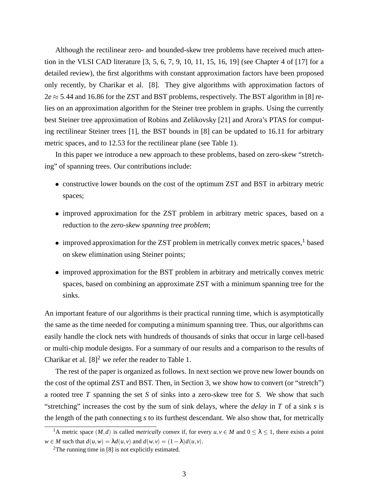Although the rectilinear zero- and bounded-skew tree problems have received much attention in the VLSI CAD literature [3, 5, 6, 7, 9, 10, 11, 15, 16, 19] (see Chapter 4 of [17] for a detailed review), the first algorithms with constant approximation factors have been proposed only recently, by Charikar et al. [8]. They give algorithms with approximation factors of  $2e \approx 5.44$  and 16.86 for the ZST and BST problems, respectively. The BST algorithm in [8] relies on an approximation algorithm for the Steiner tree problem in graphs. Using the currently best Steiner tree approximation of Robins and Zelikovsky [21] and Arora's PTAS for computing rectilinear Steiner trees [1], the BST bounds in [8] can be updated to 16.11 for arbitrary metric spaces, and to 12.53 for the rectilinear plane (see Table 1).

In this paper we introduce a new approach to these problems, based on zero-skew "stretching" of spanning trees. Our contributions include:

- constructive lower bounds on the cost of the optimum ZST and BST in arbitrary metric spaces;
- improved approximation for the ZST problem in arbitrary metric spaces, based on a reduction to the *zero-skew spanning tree problem*;
- $\bullet$  improved approximation for the ZST problem in metrically convex metric spaces,<sup>1</sup> based on skew elimination using Steiner points;
- improved approximation for the BST problem in arbitrary and metrically convex metric spaces, based on combining an approximate ZST with a minimum spanning tree for the sinks.

An important feature of our algorithms is their practical running time, which is asymptotically the same as the time needed for computing a minimum spanning tree. Thus, our algorithms can easily handle the clock nets with hundreds of thousands of sinks that occur in large cell-based or multi-chip module designs. For a summary of our results and a comparison to the results of Charikar et al.  $[8]^2$  we refer the reader to Table 1.

The rest of the paper is organized as follows. In next section we prove new lower bounds on the cost of the optimal ZST and BST. Then, in Section 3, we show how to convert (or "stretch") a rooted tree *T* spanning the set *S* of sinks into a zero-skew tree for *S*. We show that such "stretching" increases the cost by the sum of sink delays, where the *delay* in *T* of a sink *s* is the length of the path connecting *s* to its furthest descendant. We also show that, for metrically

<sup>&</sup>lt;sup>1</sup>A metric space  $(M, d)$  is called *metrically convex* if, for every  $u, v \in M$  and  $0 \le \lambda \le 1$ , there exists a point  $w \in M$  such that  $d(u, w) = \lambda d(u, v)$  and  $d(w, v) = (1 - \lambda) d(u, v)$ .

<sup>&</sup>lt;sup>2</sup>The running time in [8] is not explicitly estimated.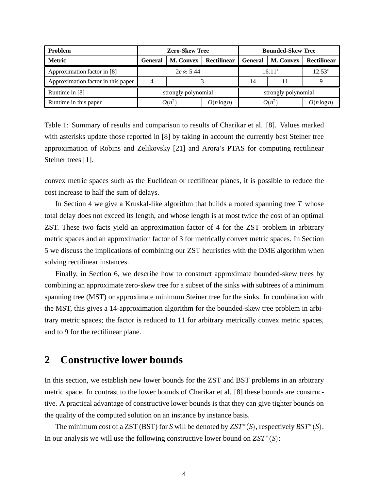| <b>Problem</b>                     | <b>Zero-Skew Tree</b> |                  |               | <b>Bounded-Skew Tree</b> |                  |               |
|------------------------------------|-----------------------|------------------|---------------|--------------------------|------------------|---------------|
| <b>Metric</b>                      | <b>General</b>        | <b>M. Convex</b> | Rectilinear   | <b>General</b>           | <b>M. Convex</b> | Rectilinear   |
| Approximation factor in [8]        | $2e \approx 5.44$     |                  |               | $16.11*$                 |                  | $12.53*$      |
| Approximation factor in this paper |                       |                  |               | 14                       |                  |               |
| Runtime in [8]                     | strongly polynomial   |                  |               | strongly polynomial      |                  |               |
| Runtime in this paper              | $O(n^2)$              |                  | $O(n \log n)$ | $O(n^2)$                 |                  | $O(n \log n)$ |

Table 1: Summary of results and comparison to results of Charikar et al. [8]. Values marked with asterisks update those reported in [8] by taking in account the currently best Steiner tree approximation of Robins and Zelikovsky [21] and Arora's PTAS for computing rectilinear Steiner trees [1].

convex metric spaces such as the Euclidean or rectilinear planes, it is possible to reduce the cost increase to half the sum of delays.

In Section 4 we give a Kruskal-like algorithm that builds a rooted spanning tree *T* whose total delay does not exceed its length, and whose length is at most twice the cost of an optimal ZST. These two facts yield an approximation factor of 4 for the ZST problem in arbitrary metric spaces and an approximation factor of 3 for metrically convex metric spaces. In Section 5 we discuss the implications of combining our ZST heuristics with the DME algorithm when solving rectilinear instances.

Finally, in Section 6, we describe how to construct approximate bounded-skew trees by combining an approximate zero-skew tree for a subset of the sinks with subtrees of a minimum spanning tree (MST) or approximate minimum Steiner tree for the sinks. In combination with the MST, this gives a 14-approximation algorithm for the bounded-skew tree problem in arbitrary metric spaces; the factor is reduced to 11 for arbitrary metrically convex metric spaces, and to 9 for the rectilinear plane.

### **2 Constructive lower bounds**

In this section, we establish new lower bounds for the ZST and BST problems in an arbitrary metric space. In contrast to the lower bounds of Charikar et al. [8] these bounds are constructive. A practical advantage of constructive lower bounds is that they can give tighter bounds on the quality of the computed solution on an instance by instance basis.

The minimum cost of a ZST (BST) for *S* will be denoted by  $ZST^*(S)$ , respectively  $BST^*(S)$ . In our analysis we will use the following constructive lower bound on  $ZST^*(S)$ :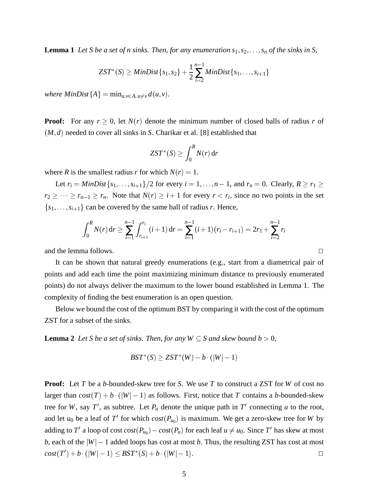**Lemma 1** Let *S* be a set of *n* sinks. Then, for any enumeration  $s_1, s_2, \ldots, s_n$  of the sinks in *S*,

$$
ZST^{*}(S) \geq MinDist\{s_1, s_2\} + \frac{1}{2}\sum_{i=2}^{n-1} MinDist\{s_1, \ldots, s_{i+1}\}\
$$

*where MinDist* ${A}$  =  $min_{u,v \in A, u \neq v} d(u,v)$ *.* 

**Proof:** For any  $r \geq 0$ , let  $N(r)$  denote the minimum number of closed balls of radius *r* of (*M*; *d*) needed to cover all sinks in *S*. Charikar et al. [8] established that

$$
ZST^*(S) \geq \int_0^R N(r) \,\mathrm{d} r
$$

where *R* is the smallest radius *r* for which  $N(r) = 1$ .

Let  $r_i = MinDist\{s_1, \ldots, s_{i+1}\}/2$  for every  $i = 1, \ldots, n-1$ , and  $r_n = 0$ . Clearly,  $R \ge r_1 \ge$  $r_2 \geq \cdots \geq r_{n-1} \geq r_n$ . Note that  $N(r) \geq i+1$  for every  $r < r_i$ , since no two points in the set  ${s_1, \ldots, s_{i+1}}$  can be covered by the same ball of radius *r*. Hence,

$$
\int_0^R N(r) dr \ge \sum_{i=1}^{n-1} \int_{r_{i+1}}^{r_i} (i+1) dr = \sum_{i=1}^{n-1} (i+1)(r_i - r_{i+1}) = 2r_1 + \sum_{i=2}^{n-1} r_i
$$

and the lemma follows.  $\Box$ 

It can be shown that natural greedy enumerations (e.g., start from a diametrical pair of points and add each time the point maximizing minimum distance to previously enumerated points) do not always deliver the maximum to the lower bound established in Lemma 1. The complexity of finding the best enumeration is an open question.

Below we bound the cost of the optimum BST by comparing it with the cost of the optimum ZST for a subset of the sinks.

**Lemma 2** Let S be a set of sinks. Then, for any  $W \subseteq S$  and skew bound  $b > 0$ ,

$$
BST^*(S) \geq ZST^*(W) - b \cdot (|W| - 1)
$$

**Proof:** Let *T* be a *b*-bounded-skew tree for *S*. We use *T* to construct a ZST for *W* of cost no larger than  $cost(T) + b \cdot (|W| - 1)$  as follows. First, notice that T contains a b-bounded-skew tree for W, say T', as subtree. Let  $P_u$  denote the unique path in T' connecting u to the root, and let  $u_0$  be a leaf of  $T'$  for which  $cost(P_{u_0})$  is maximum. We get a zero-skew tree for *W* by adding to  $T'$  a loop of  $cost\,(\mathit{P_{u_0}}) - cost(\mathit{P_u})$  for each leaf  $u \neq u_0$ . Since  $T'$  has skew at most *b*, each of the  $|W| - 1$  added loops has cost at most *b*. Thus, the resulting ZST has cost at most  $cost(T') + b \cdot (|W| - 1) \leq BST^*(S) + b \cdot (|W| - 1)$ .  $cost(T') + b \cdot (|W| - 1) \leq BST^*(S) + b \cdot (|W| - 1).$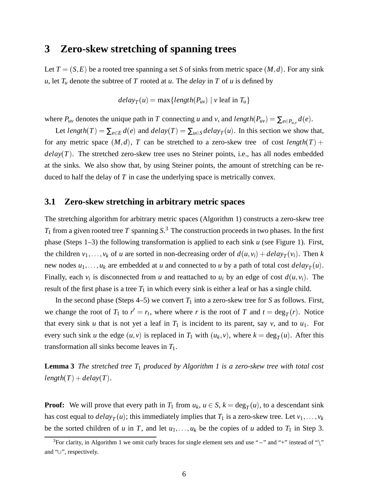### **3 Zero-skew stretching of spanning trees**

Let  $T = (S, E)$  be a rooted tree spanning a set *S* of sinks from metric space  $(M, d)$ . For any sink *u*, let  $T_u$  denote the subtree of *T* rooted at *u*. The *delay* in *T* of *u* is defined by

 $delay_T(u) = \max\{length(P_{uv}) \mid v \text{ leaf in } T_u\}$ 

where  $P_{uv}$  denotes the unique path in *T* connecting *u* and *v*, and *length*( $P_{uv}$ ) =  $\sum_{e \in P_{uv}} d(e)$ .

Let *length*(*T*) =  $\sum_{e \in E} d(e)$  and  $delay(T) = \sum_{u \in S} delay_T(u)$ . In this section we show that, for any metric space  $(M, d)$ , *T* can be stretched to a zero-skew tree of cost *length* $(T)$  +  $delay(T)$ . The stretched zero-skew tree uses no Steiner points, i.e., has all nodes embedded at the sinks. We also show that, by using Steiner points, the amount of stretching can be reduced to half the delay of *T* in case the underlying space is metrically convex.

#### **3.1 Zero-skew stretching in arbitrary metric spaces**

The stretching algorithm for arbitrary metric spaces (Algorithm 1) constructs a zero-skew tree *T*<sup>1</sup> from a given rooted tree *T* spanning *S*. <sup>3</sup> The construction proceeds in two phases. In the first phase (Steps 1–3) the following transformation is applied to each sink *u* (see Figure 1). First, the children  $v_1, \ldots, v_k$  of *u* are sorted in non-decreasing order of  $d(u, v_i) + delay_T(v_i)$ . Then *k* new nodes  $u_1, \ldots, u_k$  are embedded at *u* and connected to *u* by a path of total cost  $delay_T(u)$ . Finally, each  $v_i$  is disconnected from *u* and reattached to  $u_i$  by an edge of cost  $d(u, v_i)$ . The result of the first phase is a tree  $T_1$  in which every sink is either a leaf or has a single child.

In the second phase (Steps  $4-5$ ) we convert  $T_1$  into a zero-skew tree for *S* as follows. First, we change the root of  $T_1$  to  $r' = r_t$ , where where *r* is the root of *T* and  $t = \deg_T(r)$ . Notice that every sink *u* that is not yet a leaf in  $T_1$  is incident to its parent, say *v*, and to  $u_1$ . For every such sink *u* the edge  $(u, v)$  is replaced in  $T_1$  with  $(u_k, v)$ , where  $k = \deg_T(u)$ . After this transformation all sinks become leaves in *T*1.

**Lemma 3** *The stretched tree T*<sup>1</sup> *produced by Algorithm 1 is a zero-skew tree with total cost*  $length(T) + delay(T)$ .

**Proof:** We will prove that every path in  $T_1$  from  $u_k$ ,  $u \in S$ ,  $k = \deg_T(u)$ , to a descendant sink has cost equal to  $delay_T(u)$ ; this immediately implies that  $T_1$  is a zero-skew tree. Let  $v_1, \ldots, v_k$ be the sorted children of *u* in *T*, and let  $u_1, \ldots, u_k$  be the copies of *u* added to  $T_1$  in Step 3.

<sup>&</sup>lt;sup>3</sup>For clarity, in Algorithm 1 we omit curly braces for single element sets and use "-" and "+" instead of " $\$ " and " $\cup$ ", respectively.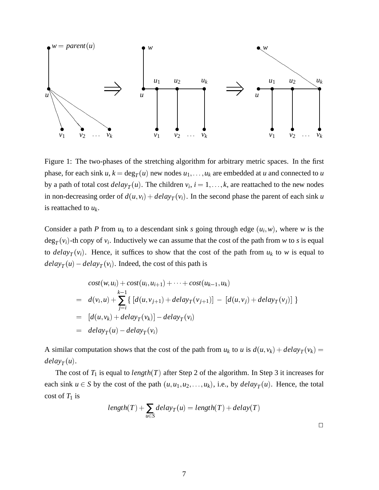

Figure 1: The two-phases of the stretching algorithm for arbitrary metric spaces. In the first phase, for each sink  $u, k = \deg_T(u)$  new nodes  $u_1, \ldots, u_k$  are embedded at  $u$  and connected to  $u$ by a path of total cost  $delay_T(u)$ . The children  $v_i$ ,  $i = 1, \ldots, k$ , are reattached to the new nodes in non-decreasing order of  $d(u, v_i) + delay_T(v_i)$ . In the second phase the parent of each sink *u* is reattached to  $u_k$ .

Consider a path *P* from  $u_k$  to a descendant sink *s* going through edge  $(u_i, w)$ , where *w* is the  $\deg_T(v_i)$ -th copy of  $v_i$ . Inductively we can assume that the cost of the path from *w* to *s* is equal to *delay<sub>T</sub>*( $v_i$ ). Hence, it suffices to show that the cost of the path from  $u_k$  to *w* is equal to  $delay_T(u) - delay_T(v_i)$ . Indeed, the cost of this path is

$$
cost(w, u_i) + cost(u_i, u_{i+1}) + \cdots + cost(u_{k-1}, u_k)
$$
  
=  $d(v_i, u) + \sum_{j=i}^{k-1} \{ [d(u, v_{j+1}) + delay_T(v_{j+1})] - [d(u, v_j) + delay_T(v_j)] \}$   
=  $[d(u, v_k) + delay_T(v_k)] - delay_T(v_i)$   
=  $delay_T(u) - delay_T(v_i)$ 

A similar computation shows that the cost of the path from  $u_k$  to *u* is  $d(u, v_k) + delay_T(v_k) =$  $delay_T(u)$ .

The cost of  $T_1$  is equal to *length*( $T$ ) after Step 2 of the algorithm. In Step 3 it increases for each sink  $u \in S$  by the cost of the path  $(u, u_1, u_2, \ldots, u_k)$ , i.e., by  $delay_T(u)$ . Hence, the total cost of  $T_1$  is

$$
length(T) + \sum_{u \in S} delay_T(u) = length(T) + delay(T)
$$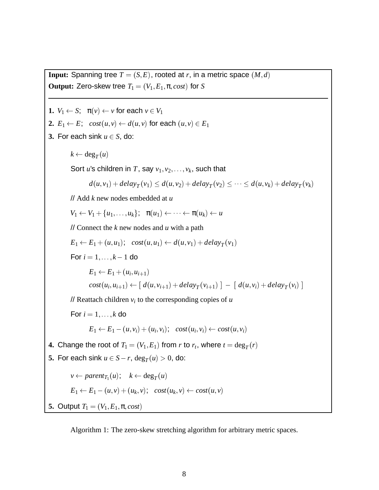**Output:** Zero-skew tree  $T_1 = (V_1, E_1, \pi, cost)$  for *S* **1.**  $V_1 \leftarrow S$ ;  $\pi(v) \leftarrow v$  for each  $v \in V_1$ **2.**  $E_1 \leftarrow E$ ;  $cost(u, v) \leftarrow d(u, v)$  for each  $(u, v) \in E_1$ **3.** For each sink  $u \in S$ , do:  $k \leftarrow \deg_T(u)$ Sort *u*'s children in *T*, say  $v_1, v_2, \ldots, v_k$ , such that  $d(u, v_1) + delay_T(v_1) \leq d(u, v_2) + delay_T(v_2) \leq \cdots \leq d(u, v_k) + delay_T(v_k)$ // Add *k* new nodes embedded at *u*  $V_1 \leftarrow V_1 + \{u_1,\ldots,u_k\}; \quad \pi(u_1) \leftarrow \cdots \leftarrow \pi(u_k) \leftarrow u$ // Connect the *k* new nodes and *u* with a path  $E_1 \leftarrow E_1 + (u, u_1); \quad cost(u, u_1) \leftarrow d(u, v_1) + delay_T(v_1)$ For  $i = 1, ..., k - 1$  do  $E_1 \leftarrow E_1 + (u_i, u_{i+1})$  $cost(u_i, u_{i+1}) \leftarrow [ d(u, v_{i+1}) + delay_T(v_{i+1}) ] - [ d(u, v_i) + delay_T(v_i) ]$ // Reattach children  $v_i$  to the corresponding copies of  $u$ For  $i = 1, \ldots, k$  do  $E_1 \leftarrow E_1 - (u, v_i) + (u_i, v_i); \quad cost(u_i, v_i) \leftarrow cost(u, v_i)$ **4.** Change the root of  $T_1 = (V_1, E_1)$  from *r* to  $r_t$ , where  $t = \deg_T(r)$ **5.** For each sink  $u \in S - r$ ,  $\deg_T(u) > 0$ , do:

**Input:** Spanning tree  $T = (S, E)$ , rooted at r, in a metric space  $(M, d)$ 

 $v \leftarrow parent_{T_1}(u); \quad k \leftarrow deg_T(u)$  $E_1 \leftarrow E_1 - (u, v) + (u_k, v); \ \ cost(u_k, v) \leftarrow cost(u, v)$ 

**5.** Output  $T_1 = (V_1, E_1, \pi, cost)$ 

Algorithm 1: The zero-skew stretching algorithm for arbitrary metric spaces.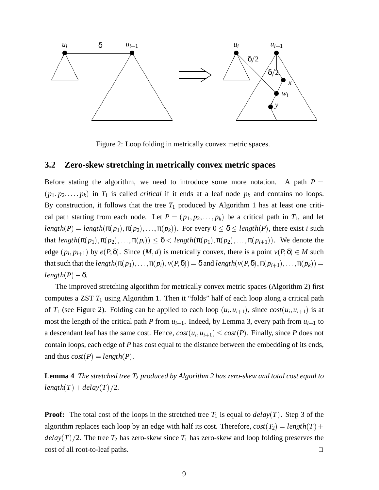

Figure 2: Loop folding in metrically convex metric spaces.

#### **3.2 Zero-skew stretching in metrically convex metric spaces**

Before stating the algorithm, we need to introduce some more notation. A path  $P =$  $(p_1, p_2, \ldots, p_k)$  in  $T_1$  is called *critical* if it ends at a leaf node  $p_k$  and contains no loops. By construction, it follows that the tree  $T_1$  produced by Algorithm 1 has at least one critical path starting from each node. Let  $P = (p_1, p_2, \ldots, p_k)$  be a critical path in  $T_1$ , and let *length*( $P$ ) = *length*( $\pi(p_1), \pi(p_2), \ldots, \pi(p_k)$ ). For every  $0 \le \delta \le length(P)$ , there exist *i* such that  $length(\pi(p_1), \pi(p_2), \ldots, \pi(p_i)) \leq \delta < length(\pi(p_1), \pi(p_2), \ldots, \pi(p_{i+1}))$ . We denote the edge  $(p_i, p_{i+1})$  by  $e(P, \delta)$ . Since  $(M, d)$  is metrically convex, there is a point  $v(P, \delta) \in M$  such that such that the *length*( $\pi(p_1), \ldots, \pi(p_i), \nu(P, \delta)$ ) =  $\delta$  and *length*( $\nu(P, \delta), \pi(p_{i+1}), \ldots, \pi(p_k)$ ) =  $length(P) - \delta$ .

The improved stretching algorithm for metrically convex metric spaces (Algorithm 2) first computes a ZST *T*<sup>1</sup> using Algorithm 1. Then it "folds" half of each loop along a critical path of  $T_1$  (see Figure 2). Folding can be applied to each loop  $(u_i, u_{i+1})$ , since  $cost(u_i, u_{i+1})$  is at most the length of the critical path *P* from  $u_{i+1}$ . Indeed, by Lemma 3, every path from  $u_{i+1}$  to a descendant leaf has the same cost. Hence,  $cost(u_i, u_{i+1}) \leq cost(P)$ . Finally, since *P* does not contain loops, each edge of *P* has cost equal to the distance between the embedding of its ends, and thus  $cost(P) = length(P)$ .

**Lemma 4** *The stretched tree T*<sup>2</sup> *produced by Algorithm 2 has zero-skew and total cost equal to*  $length(T) + delay(T)/2.$ 

**Proof:** The total cost of the loops in the stretched tree  $T_1$  is equal to  $delay(T)$ . Step 3 of the algorithm replaces each loop by an edge with half its cost. Therefore,  $cost(T_2) = length(T) +$  $delay(T)/2$ . The tree  $T_2$  has zero-skew since  $T_1$  has zero-skew and loop folding preserves the  $\Box$  cost of all root-to-leaf paths.  $\Box$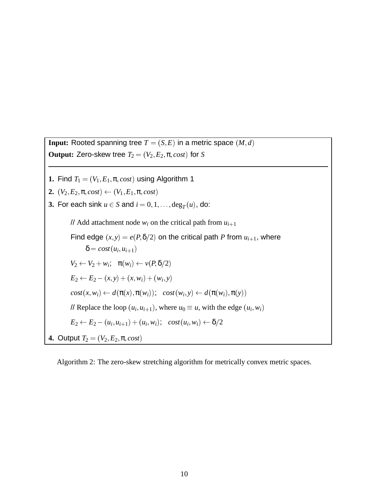**Input:** Rooted spanning tree  $T = (S, E)$  in a metric space  $(M, d)$ **Output:** Zero-skew tree  $T_2 = (V_2, E_2, \pi, cost)$  for *S* 

- **1.** Find  $T_1 = (V_1, E_1, \pi, cost)$  using Algorithm 1
- **2.**  $(V_2, E_2, \pi, cost) \leftarrow (V_1, E_1, \pi, cost)$
- **3.** For each sink  $u \in S$  and  $i = 0, 1, \ldots$ , deg<sub>*T*</sub> $(u)$ , do:

// Add attachment node  $w_i$  on the critical path from  $u_{i+1}$ Find edge  $(x, y) = e(P, \delta/2)$  on the critical path *P* from  $u_{i+1}$ , where  $\delta = cost(u_i, u_{i+1})$  $V_2 \leftarrow V_2 + w_i; \quad \pi(w_i) \leftarrow v(P, \delta/2)$  $E_2 \leftarrow E_2 - (x, y) + (x, w_i) + (w_i, y)$  $cost(x, w_i) \leftarrow d(\pi(x), \pi(w_i)); \ \ cost(w_i, y) \leftarrow d(\pi(w_i), \pi(y))$ // Replace the loop  $(u_i, u_{i+1})$ , where  $u_0 \equiv u$ , with the edge  $(u_i, w_i)$  $E_2 \leftarrow E_2 - (u_i, u_{i+1}) + (u_i, w_i); \ \ \ \textit{cost}(u_i, w_i) \leftarrow \delta/2$ **4.** Output  $T_2 = (V_2, E_2, \pi, cost)$ 

Algorithm 2: The zero-skew stretching algorithm for metrically convex metric spaces.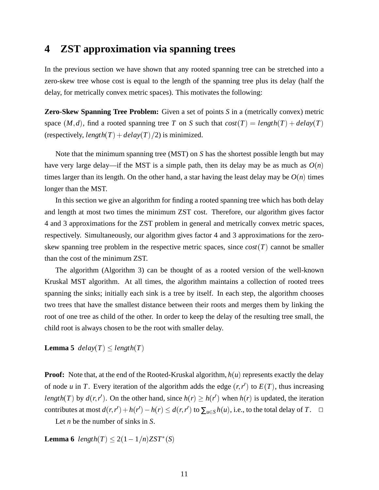### **4 ZST approximation via spanning trees**

In the previous section we have shown that any rooted spanning tree can be stretched into a zero-skew tree whose cost is equal to the length of the spanning tree plus its delay (half the delay, for metrically convex metric spaces). This motivates the following:

**Zero-Skew Spanning Tree Problem:** Given a set of points *S* in a (metrically convex) metric space  $(M, d)$ , find a rooted spanning tree *T* on *S* such that  $cost(T) = length(T) + delay(T)$ (respectively,  $length(T) + delay(T)/2$ ) is minimized.

Note that the minimum spanning tree (MST) on *S* has the shortest possible length but may have very large delay—if the MST is a simple path, then its delay may be as much as  $O(n)$ times larger than its length. On the other hand, a star having the least delay may be  $O(n)$  times longer than the MST.

In this section we give an algorithm for finding a rooted spanning tree which has both delay and length at most two times the minimum ZST cost. Therefore, our algorithm gives factor 4 and 3 approximations for the ZST problem in general and metrically convex metric spaces, respectively. Simultaneously, our algorithm gives factor 4 and 3 approximations for the zeroskew spanning tree problem in the respective metric spaces, since  $cost(T)$  cannot be smaller than the cost of the minimum ZST.

The algorithm (Algorithm 3) can be thought of as a rooted version of the well-known Kruskal MST algorithm. At all times, the algorithm maintains a collection of rooted trees spanning the sinks; initially each sink is a tree by itself. In each step, the algorithm chooses two trees that have the smallest distance between their roots and merges them by linking the root of one tree as child of the other. In order to keep the delay of the resulting tree small, the child root is always chosen to be the root with smaller delay.

**Lemma 5**  $delay(T) \leq length(T)$ 

**Proof:** Note that, at the end of the Rooted-Kruskal algorithm,  $h(u)$  represents exactly the delay of node *u* in *T*. Every iteration of the algorithm adds the edge  $(r, r')$  to  $E(T)$ , thus increasing *length*(*T*) by  $d(r, r')$ . On the other hand, since  $h(r) \geq h(r')$  when  $h(r)$  is updated, the iteration contributes at most  $d(r, r') + h(r') - h(r) \leq d(r, r')$  to  $\sum_{u \in S} h(u)$ , i.e., to the total delay of *T*.  $\Box$ 

Let *n* be the number of sinks in *S*.

**Lemma 6** *length*(*T*) < 2(1 - 1/*n*)*ZST*<sup>\*</sup>(*S*)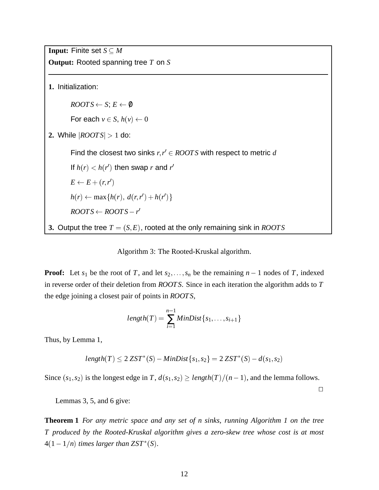**Input:** Finite set  $S \subseteq M$ **Output:** Rooted spanning tree *T* on *S* **1.** Initialization:  $\textit{ROOTS} \leftarrow S; E \leftarrow \emptyset$ For each  $v \in S$ ,  $h(v) \leftarrow 0$ **2.** While j*ROOT S*j <sup>&</sup>gt; 1 do: Find the closest two sinks  $r, r' \in ROOTS$  with respect to metric  $d$ If  $h(r) < h(r')$  then swap *r* and *r'*  $E \leftarrow E + (r,r')$  $h(r) \leftarrow \max\{h(r), d(r, r') + h(r')\}$  $\textit{ROOTS} \leftarrow \textit{ROOTS} - r'$ **3.** Output the tree *T* = (*S*; *E* ), rooted at the only remaining sink in *ROOT S*

Algorithm 3: The Rooted-Kruskal algorithm.

**Proof:** Let  $s_1$  be the root of *T*, and let  $s_2, \ldots, s_n$  be the remaining  $n-1$  nodes of *T*, indexed in reverse order of their deletion from *ROOT S*. Since in each iteration the algorithm adds to *T* the edge joining a closest pair of points in *ROOT S*,

$$
length(T) = \sum_{i=1}^{n-1} MinDist\{s_1,\ldots,s_{i+1}\}\
$$

Thus, by Lemma 1,

$$
length(T) \leq 2 ZST^*(S) - MinDist\{s_1, s_2\} = 2 ZST^*(S) - d(s_1, s_2)
$$

Since  $(s_1, s_2)$  is the longest edge in *T*,  $d(s_1, s_2) \geq length(T)/(n - 1)$ , and the lemma follows.

 $\Box$ 

Lemmas 3, 5, and 6 give:

**Theorem 1** *For any metric space and any set of n sinks, running Algorithm 1 on the tree T produced by the Rooted-Kruskal algorithm gives a zero-skew tree whose cost is at most*  $4(1-1/n)$  *times larger than*  $ZST^*(S)$ *.*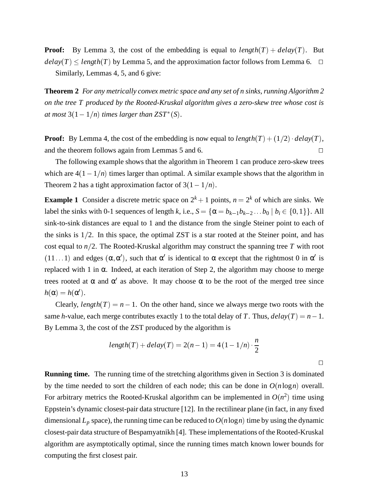**Proof:** By Lemma 3, the cost of the embedding is equal to  $length(T) + delay(T)$ . But  $delay(T) \le length(T)$  by Lemma 5, and the approximation factor follows from Lemma 6.  $\Box$ 

Similarly, Lemmas 4, 5, and 6 give:

**Theorem 2** *For any metrically convex metric space and any set of n sinks, running Algorithm 2 on the tree T produced by the Rooted-Kruskal algorithm gives a zero-skew tree whose cost is at most*  $3(1 - 1/n)$  *times larger than*  $ZST^*(S)$ *.* 

**Proof:** By Lemma 4, the cost of the embedding is now equal to  $length(T) + (1/2) \cdot delay(T)$ , and the theorem follows again from Lemmas 5 and 6.  $\Box$ 

The following example shows that the algorithm in Theorem 1 can produce zero-skew trees which are  $4(1-1/n)$  times larger than optimal. A similar example shows that the algorithm in Theorem 2 has a tight approximation factor of  $3(1-1/n)$ .

**Example 1** Consider a discrete metric space on  $2^k + 1$  points,  $n = 2^k$  of which are sinks. We label the sinks with 0-1 sequences of length *k*, i.e.,  $S = {\alpha = b_{k-1}b_{k-2} \dots b_0 | b_i \in \{0,1\}}$ . All sink-to-sink distances are equal to 1 and the distance from the single Steiner point to each of the sinks is  $1/2$ . In this space, the optimal ZST is a star rooted at the Steiner point, and has cost equal to  $n/2$ . The Rooted-Kruskal algorithm may construct the spanning tree *T* with root (11...1) and edges  $(\alpha, \alpha')$ , such that  $\alpha'$  is identical to  $\alpha$  except that the rightmost 0 in  $\alpha'$  is replaced with 1 in  $\alpha$ . Indeed, at each iteration of Step 2, the algorithm may choose to merge trees rooted at  $\alpha$  and  $\alpha'$  as above. It may choose  $\alpha$  to be the root of the merged tree since  $h(\alpha) = h(\alpha')$ .

Clearly, *length*( $T$ ) =  $n - 1$ . On the other hand, since we always merge two roots with the same *h*-value, each merge contributes exactly 1 to the total delay of *T*. Thus,  $delay(T) = n - 1$ . By Lemma 3, the cost of the ZST produced by the algorithm is

$$
length(T) + delay(T) = 2(n-1) = 4(1 - 1/n) \cdot \frac{n}{2}
$$

 $\Box$ 

**Running time.** The running time of the stretching algorithms given in Section 3 is dominated by the time needed to sort the children of each node; this can be done in  $O(n \log n)$  overall. For arbitrary metrics the Rooted-Kruskal algorithm can be implemented in  $O(n^2)$  time using Eppstein's dynamic closest-pair data structure [12]. In the rectilinear plane (in fact, in any fixed dimensional  $L_p$  space), the running time can be reduced to  $O(n \log n)$  time by using the dynamic closest-pair data structure of Bespamyatnikh [4]. These implementations of the Rooted-Kruskal algorithm are asymptotically optimal, since the running times match known lower bounds for computing the first closest pair.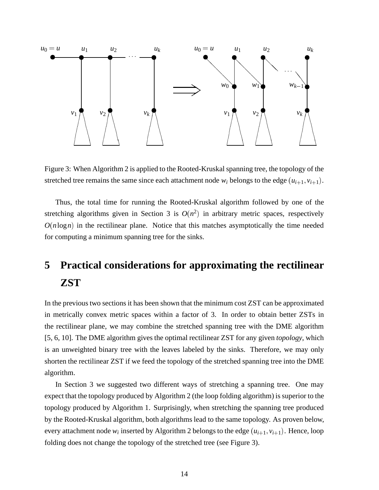

Figure 3: When Algorithm 2 is applied to the Rooted-Kruskal spanning tree, the topology of the stretched tree remains the same since each attachment node  $w_i$  belongs to the edge  $(u_{i+1}, v_{i+1})$ .

Thus, the total time for running the Rooted-Kruskal algorithm followed by one of the stretching algorithms given in Section 3 is  $O(n^2)$  in arbitrary metric spaces, respectively  $O(n \log n)$  in the rectilinear plane. Notice that this matches asymptotically the time needed for computing a minimum spanning tree for the sinks.

## **5 Practical considerations for approximating the rectilinear ZST**

In the previous two sections it has been shown that the minimum cost ZST can be approximated in metrically convex metric spaces within a factor of 3. In order to obtain better ZSTs in the rectilinear plane, we may combine the stretched spanning tree with the DME algorithm [5, 6, 10]. The DME algorithm gives the optimal rectilinear ZST for any given *topology*, which is an unweighted binary tree with the leaves labeled by the sinks. Therefore, we may only shorten the rectilinear ZST if we feed the topology of the stretched spanning tree into the DME algorithm.

In Section 3 we suggested two different ways of stretching a spanning tree. One may expect that the topology produced by Algorithm 2 (the loop folding algorithm) is superior to the topology produced by Algorithm 1. Surprisingly, when stretching the spanning tree produced by the Rooted-Kruskal algorithm, both algorithms lead to the same topology. As proven below, every attachment node  $w_i$  inserted by Algorithm 2 belongs to the edge  $(u_{i+1}, v_{i+1})$ . Hence, loop folding does not change the topology of the stretched tree (see Figure 3).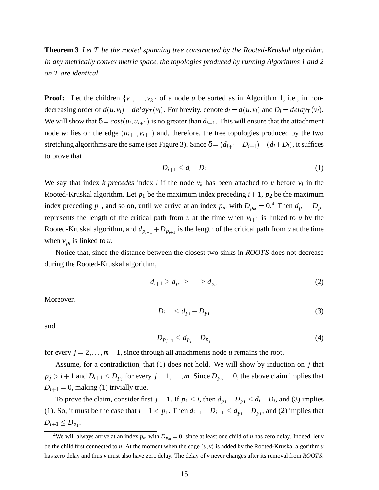**Theorem 3** *Let T be the rooted spanning tree constructed by the Rooted-Kruskal algorithm. In any metrically convex metric space, the topologies produced by running Algorithms 1 and 2 on T are identical.*

**Proof:** Let the children  $\{v_1, \ldots, v_k\}$  of a node *u* be sorted as in Algorithm 1, i.e., in nondecreasing order of  $d(u, v_i) + delay_T(v_i)$ . For brevity, denote  $d_i = d(u, v_i)$  and  $D_i = delay_T(v_i)$ . We will show that  $\delta = cost(u_i, u_{i+1})$  is no greater than  $d_{i+1}$ . This will ensure that the attachment node  $w_i$  lies on the edge  $(u_{i+1}, v_{i+1})$  and, therefore, the tree topologies produced by the two stretching algorithms are the same (see Figure 3). Since  $\delta = (d_{i+1} + D_{i+1}) - (d_i + D_i)$ , it suffices to prove that

$$
D_{i+1} \le d_i + D_i \tag{1}
$$

We say that index *k* precedes index *l* if the node  $v_k$  has been attached to *u* before  $v_l$  in the Rooted-Kruskal algorithm. Let  $p_1$  be the maximum index preceding  $i+1$ ,  $p_2$  be the maximum index preceding  $p_1$ , and so on, until we arrive at an index  $p_m$  with  $D_{p_m} = 0.4$  Then  $d_{p_1} + D_{p_1}$ represents the length of the critical path from  $u$  at the time when  $v_{i+1}$  is linked to  $u$  by the Rooted-Kruskal algorithm, and  $d_{p_{i+1}} + D_{p_{i+1}}$  is the length of the critical path from *u* at the time when  $v_{p_i}$  is linked to  $u$ .

Notice that, since the distance between the closest two sinks in *ROOT S* does not decrease during the Rooted-Kruskal algorithm,

$$
d_{i+1} \ge d_{p_1} \ge \cdots \ge d_{p_m} \tag{2}
$$

Moreover,

$$
D_{i+1} \le d_{p_1} + D_{p_1} \tag{3}
$$

and

$$
D_{p_{j-1}} \le d_{p_j} + D_{p_j} \tag{4}
$$

for every  $j = 2, \ldots, m - 1$ , since through all attachments node *u* remains the root.

Assume, for a contradiction, that (1) does not hold. We will show by induction on *j* that  $p_j > i + 1$  and  $D_{i+1} \leq D_{p_j}$  for every  $j = 1, \ldots, m$ . Since  $D_{p_m} = 0$ , the above claim implies that  $D_{i+1} = 0$ , making (1) trivially true.

To prove the claim, consider first  $j = 1$ . If  $p_1 \le i$ , then  $d_{p_1} + D_{p_1} \le d_i + D_i$ , and (3) implies (1). So, it must be the case that  $i+1 < p_1$ . Then  $d_{i+1} + D_{i+1} \leq d_{p_1} + D_{p_1}$ , and (2) implies that  $D_{i+1} \leq D_{p_1}$ .

<sup>&</sup>lt;sup>4</sup>We will always arrive at an index  $p_m$  with  $D_{p_m} = 0$ , since at least one child of *u* has zero delay. Indeed, let *v* be the child first connected to  $u$ . At the moment when the edge  $(u, v)$  is added by the Rooted-Kruskal algorithm  $u$ has zero delay and thus *v* must also have zero delay. The delay of *v* never changes after its removal from *ROOTS*.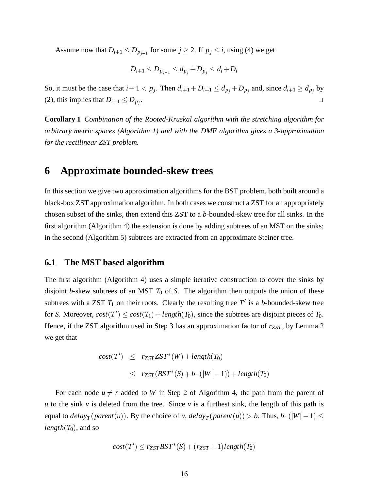Assume now that  $D_{i+1} \leq D_{p_{i-1}}$  for some  $j \geq 2$ . If  $p_j \leq i$ , using (4) we get

$$
D_{i+1}\leq D_{p_{j-1}}\leq d_{p_j}\!+\!D_{p_j}\leq d_i\!+\!D_i
$$

So, it must be the case that  $i + 1 < p_j$ . Then  $d_{i+1} + D_{i+1} \leq d_{p_j} + D_{p_j}$  and, since  $d_{i+1} \geq d_{p_j}$  by (2), this implies that  $D_{i+1} \leq D_{p_i}$ . . The contract of the contract of the contract of  $\Box$  . In the contract of the contract of the contract of the contract of the contract of the contract of the contract of the contract of the contract of the contract of t

**Corollary 1** *Combination of the Rooted-Kruskal algorithm with the stretching algorithm for arbitrary metric spaces (Algorithm 1) and with the DME algorithm gives a 3-approximation for the rectilinear ZST problem.*

### **6 Approximate bounded-skew trees**

In this section we give two approximation algorithms for the BST problem, both built around a black-box ZST approximation algorithm. In both cases we construct a ZST for an appropriately chosen subset of the sinks, then extend this ZST to a *b*-bounded-skew tree for all sinks. In the first algorithm (Algorithm 4) the extension is done by adding subtrees of an MST on the sinks; in the second (Algorithm 5) subtrees are extracted from an approximate Steiner tree.

#### **6.1 The MST based algorithm**

The first algorithm (Algorithm 4) uses a simple iterative construction to cover the sinks by disjoint *b*-skew subtrees of an MST  $T_0$  of *S*. The algorithm then outputs the union of these subtrees with a ZST  $T_1$  on their roots. Clearly the resulting tree  $T'$  is a *b*-bounded-skew tree for *S*. Moreover,  $cost(T') \leq cost(T_1) + length(T_0)$ , since the subtrees are disjoint pieces of  $T_0$ . Hence, if the ZST algorithm used in Step 3 has an approximation factor of  $r_{ZST}$ , by Lemma 2 we get that

$$
cost(T') \leq r_{ZST}ZST^*(W) + length(T_0)
$$
  

$$
\leq r_{ZST}(BST^*(S) + b \cdot (|W|-1)) + length(T_0)
$$

For each node  $u \neq r$  added to *W* in Step 2 of Algorithm 4, the path from the parent of *u* to the sink *v* is deleted from the tree. Since *v* is a furthest sink, the length of this path is equal to  $delay_T$  (*parent*(*u*)). By the choice of *u*,  $delay_T$  (*parent*(*u*)) > *b*. Thus, *b* · (|*W*| - 1)  $\leq$ *length* $(T_0)$ , and so

$$
cost(T') \leq r_{ZST} BST^*(S) + (r_{ZST} + 1) length(T_0)
$$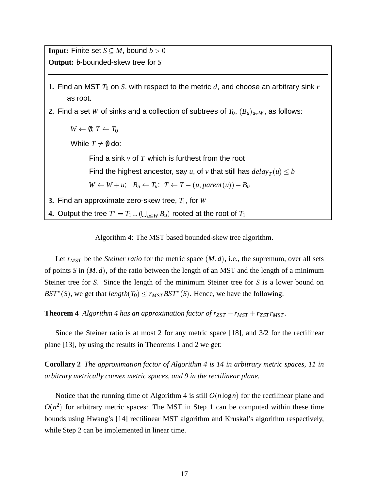**Input:** Finite set  $S \subseteq M$ , bound  $b > 0$ **Output:** *b*-bounded-skew tree for *S*

- **1.** Find an MST  $T_0$  on  $S$ , with respect to the metric  $d$ , and choose an arbitrary sink  $r$ as root.
- **2.** Find a set *W* of sinks and a collection of subtrees of  $T_0$ ,  $(B_u)_{u \in W}$ , as follows:

 $W \leftarrow \emptyset$ ;  $T \leftarrow T_0$ 

While  $T \neq \emptyset$  do:

Find a sink *v* of *T* which is furthest from the root

Find the highest ancestor, say *u*, of *v* that still has  $delay_T(u) \leq b$ 

 $W \leftarrow W + u$ ;  $B_u \leftarrow T_u$ ;  $T \leftarrow T - (u, parent(u)) - B_u$ 

**3.** Find an approximate zero-skew tree, *T*1, for *W*

**4.** Output the tree  $T' = T_1 \cup (\bigcup_{u \in W} B_u)$  rooted at the root of  $T_1$ 

Algorithm 4: The MST based bounded-skew tree algorithm.

Let  $r_{MST}$  be the *Steiner ratio* for the metric space  $(M, d)$ , i.e., the supremum, over all sets of points *S* in  $(M, d)$ , of the ratio between the length of an MST and the length of a minimum Steiner tree for *S*. Since the length of the minimum Steiner tree for *S* is a lower bound on *BST*<sup>\*</sup>(*S*), we get that *length*(*T*<sub>0</sub>)  $\leq$  *r<sub>MST</sub>BST*<sup>\*</sup>(*S*). Hence, we have the following:

**Theorem 4** *Algorithm 4 has an approximation factor of*  $r_{ZST} + r_{MST} + r_{ZST}r_{MST}$ *.* 

Since the Steiner ratio is at most 2 for any metric space [18], and 3/2 for the rectilinear plane [13], by using the results in Theorems 1 and 2 we get:

**Corollary 2** *The approximation factor of Algorithm 4 is 14 in arbitrary metric spaces, 11 in arbitrary metrically convex metric spaces, and 9 in the rectilinear plane.*

Notice that the running time of Algorithm 4 is still *O*(*n*log*n*) for the rectilinear plane and  $O(n^2)$  for arbitrary metric spaces: The MST in Step 1 can be computed within these time bounds using Hwang's [14] rectilinear MST algorithm and Kruskal's algorithm respectively, while Step 2 can be implemented in linear time.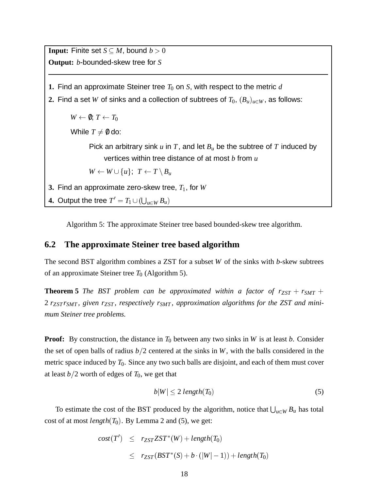**Input:** Finite set  $S \subseteq M$ , bound  $b > 0$ **Output:** *b*-bounded-skew tree for *S* **1.** Find an approximate Steiner tree  $T_0$  on  $S$ , with respect to the metric  $d$ **2.** Find a set *W* of sinks and a collection of subtrees of  $T_0$ ,  $(B_u)_{u \in W}$ , as follows:  $W \leftarrow \emptyset$ ;  $T \leftarrow T_0$ While  $T \neq 0$  do: Pick an arbitrary sink  $u$  in  $T$ , and let  $B_u$  be the subtree of  $T$  induced by vertices within tree distance of at most *b* from *u*  $W \leftarrow W \cup \{u\}; T \leftarrow T \setminus B_u$ **3.** Find an approximate zero-skew tree, *T*1, for *W* **4.** Output the tree  $T' = T_1 \cup (\bigcup_{u \in W} B_u)$ 

Algorithm 5: The approximate Steiner tree based bounded-skew tree algorithm.

#### **6.2 The approximate Steiner tree based algorithm**

The second BST algorithm combines a ZST for a subset *W* of the sinks with *b*-skew subtrees of an approximate Steiner tree  $T_0$  (Algorithm 5).

**Theorem 5** *The BST problem can be approximated within a factor of*  $r_{ZST} + r_{SMT} +$ 2 *rZST rSMT , given rZST , respectively rSMT , approximation algorithms for the ZST and minimum Steiner tree problems.*

**Proof:** By construction, the distance in  $T_0$  between any two sinks in *W* is at least *b*. Consider the set of open balls of radius  $b/2$  centered at the sinks in *W*, with the balls considered in the metric space induced by  $T_0$ . Since any two such balls are disjoint, and each of them must cover at least  $b/2$  worth of edges of  $T_0$ , we get that

$$
b|W| \le 2\ length(T_0) \tag{5}
$$

To estimate the cost of the BST produced by the algorithm, notice that  $\bigcup_{u \in W} B_u$  has total cost of at most *length* $(T_0)$ . By Lemma 2 and (5), we get:

$$
cost(T') \leq r_{ZST}ZST^*(W) + length(T_0)
$$
  

$$
\leq r_{ZST}(BST^*(S) + b \cdot (|W|-1)) + length(T_0)
$$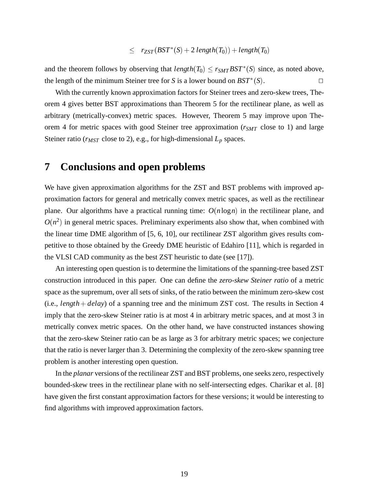$$
\leq \quad r_{ZST}(BST^*(S) + 2\ length(T_0)) + length(T_0)
$$

and the theorem follows by observing that  $length(T_0) \leq r_{SMT}BST^*(S)$  since, as noted above, the length of the minimum Steiner tree for *S* is a lower bound on  $BST^*(S)$ .

With the currently known approximation factors for Steiner trees and zero-skew trees, Theorem 4 gives better BST approximations than Theorem 5 for the rectilinear plane, as well as arbitrary (metrically-convex) metric spaces. However, Theorem 5 may improve upon Theorem 4 for metric spaces with good Steiner tree approximation ( $r_{SMT}$  close to 1) and large Steiner ratio ( $r_{MST}$  close to 2), e.g., for high-dimensional  $L_p$  spaces.

#### **7 Conclusions and open problems**

We have given approximation algorithms for the ZST and BST problems with improved approximation factors for general and metrically convex metric spaces, as well as the rectilinear plane. Our algorithms have a practical running time:  $O(n \log n)$  in the rectilinear plane, and  $O(n^2)$  in general metric spaces. Preliminary experiments also show that, when combined with the linear time DME algorithm of [5, 6, 10], our rectilinear ZST algorithm gives results competitive to those obtained by the Greedy DME heuristic of Edahiro [11], which is regarded in the VLSI CAD community as the best ZST heuristic to date (see [17]).

An interesting open question is to determine the limitations of the spanning-tree based ZST construction introduced in this paper. One can define the *zero-skew Steiner ratio* of a metric space as the supremum, over all sets of sinks, of the ratio between the minimum zero-skew cost (i.e., *length* <sup>+</sup> *delay*) of a spanning tree and the minimum ZST cost. The results in Section 4 imply that the zero-skew Steiner ratio is at most 4 in arbitrary metric spaces, and at most 3 in metrically convex metric spaces. On the other hand, we have constructed instances showing that the zero-skew Steiner ratio can be as large as 3 for arbitrary metric spaces; we conjecture that the ratio is never larger than 3. Determining the complexity of the zero-skew spanning tree problem is another interesting open question.

In the *planar* versions of the rectilinear ZST and BST problems, one seeks zero, respectively bounded-skew trees in the rectilinear plane with no self-intersecting edges. Charikar et al. [8] have given the first constant approximation factors for these versions; it would be interesting to find algorithms with improved approximation factors.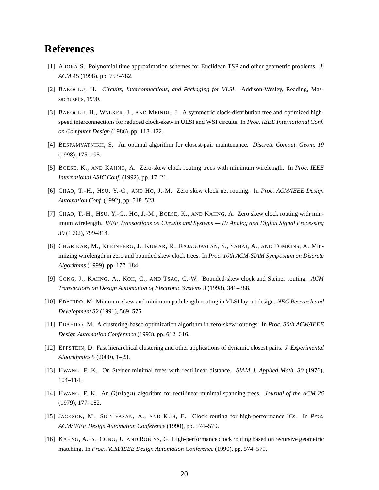### **References**

- [1] ARORA S. Polynomial time approximation schemes for Euclidean TSP and other geometric problems. *J. ACM* 45 (1998), pp. 753–782.
- [2] BAKOGLU, H. *Circuits, Interconnections, and Packaging for VLSI*. Addison-Wesley, Reading, Massachusetts, 1990.
- [3] BAKOGLU, H., WALKER, J., AND MEINDL, J. A symmetric clock-distribution tree and optimized highspeed interconnections for reduced clock-skew in ULSI and WSI circuits. In *Proc. IEEE International Conf. on Computer Design* (1986), pp. 118–122.
- [4] BESPAMYATNIKH, S. An optimal algorithm for closest-pair maintenance. *Discrete Comput. Geom. 19* (1998), 175–195.
- [5] BOESE, K., AND KAHNG, A. Zero-skew clock routing trees with minimum wirelength. In *Proc. IEEE International ASIC Conf.* (1992), pp. 17–21.
- [6] CHAO, T.-H., HSU, Y.-C., AND HO, J.-M. Zero skew clock net routing. In *Proc. ACM/IEEE Design Automation Conf.* (1992), pp. 518–523.
- [7] CHAO, T.-H., HSU, Y.-C., HO, J.-M., BOESE, K., AND KAHNG, A. Zero skew clock routing with minimum wirelength. *IEEE Transactions on Circuits and Systems — II: Analog and Digital Signal Processing 39* (1992), 799–814.
- [8] CHARIKAR, M., KLEINBERG, J., KUMAR, R., RAJAGOPALAN, S., SAHAI, A., AND TOMKINS, A. Minimizing wirelength in zero and bounded skew clock trees. In *Proc. 10th ACM-SIAM Symposium on Discrete Algorithms* (1999), pp. 177–184.
- [9] CONG, J., KAHNG, A., KOH, C., AND TSAO, C.-W. Bounded-skew clock and Steiner routing. *ACM Transactions on Design Automation of Electronic Systems 3* (1998), 341–388.
- [10] EDAHIRO, M. Minimum skew and minimum path length routing in VLSI layout design. *NEC Research and Development 32* (1991), 569–575.
- [11] EDAHIRO, M. A clustering-based optimization algorithm in zero-skew routings. In *Proc. 30th ACM/IEEE Design Automation Conference* (1993), pp. 612–616.
- [12] EPPSTEIN, D. Fast hierarchical clustering and other applications of dynamic closest pairs. *J. Experimental Algorithmics 5* (2000), 1–23.
- [13] HWANG, F. K. On Steiner minimal trees with rectilinear distance. *SIAM J. Applied Math. 30* (1976), 104–114.
- [14] HWANG, F. K. An *O*(*n*log*n*) algorithm for rectilinear minimal spanning trees. *Journal of the ACM 26* (1979), 177–182.
- [15] JACKSON, M., SRINIVASAN, A., AND KUH, E. Clock routing for high-performance ICs. In *Proc. ACM/IEEE Design Automation Conference* (1990), pp. 574–579.
- [16] KAHNG, A. B., CONG, J., AND ROBINS, G. High-performance clock routing based on recursive geometric matching. In *Proc. ACM/IEEE Design Automation Conference* (1990), pp. 574–579.